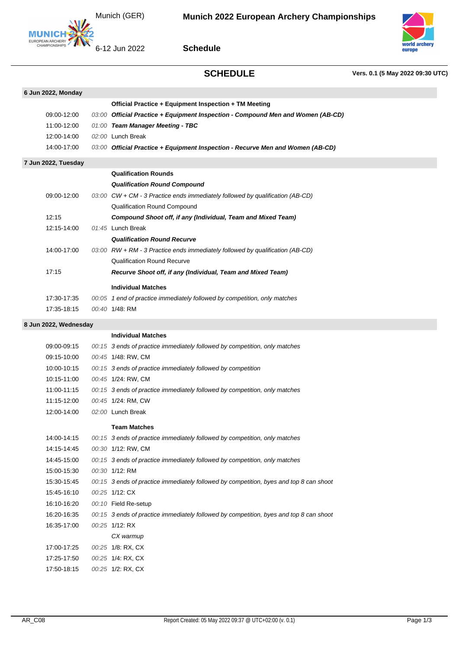Munich (GER)



**Schedule**



## **SCHEDULE Vers. 0.1 (5 May 2022 09:30 UTC)**

| 6 Jun 2022, Monday    |  |                                                                                               |  |  |  |
|-----------------------|--|-----------------------------------------------------------------------------------------------|--|--|--|
|                       |  | Official Practice + Equipment Inspection + TM Meeting                                         |  |  |  |
| 09:00-12:00           |  | 03:00 Official Practice + Equipment Inspection - Compound Men and Women (AB-CD)               |  |  |  |
| 11:00-12:00           |  | 01:00 Team Manager Meeting - TBC                                                              |  |  |  |
| 12:00-14:00           |  | 02:00 Lunch Break                                                                             |  |  |  |
| 14:00-17:00           |  | 03:00 Official Practice + Equipment Inspection - Recurve Men and Women (AB-CD)                |  |  |  |
| 7 Jun 2022, Tuesday   |  |                                                                                               |  |  |  |
|                       |  | <b>Qualification Rounds</b>                                                                   |  |  |  |
|                       |  | <b>Qualification Round Compound</b>                                                           |  |  |  |
| 09:00-12:00           |  | 03:00 $\text{CW} + \text{CM} - 3$ Practice ends immediately followed by qualification (AB-CD) |  |  |  |
|                       |  | Qualification Round Compound                                                                  |  |  |  |
| 12:15                 |  | <b>Compound Shoot off, if any (Individual, Team and Mixed Team)</b>                           |  |  |  |
| 12:15-14:00           |  | 01:45 Lunch Break                                                                             |  |  |  |
|                       |  | <b>Qualification Round Recurve</b>                                                            |  |  |  |
| 14:00-17:00           |  | 03:00 $RW + RM - 3$ Practice ends immediately followed by qualification (AB-CD)               |  |  |  |
|                       |  | <b>Qualification Round Recurve</b>                                                            |  |  |  |
| 17:15                 |  | Recurve Shoot off, if any (Individual, Team and Mixed Team)                                   |  |  |  |
|                       |  | <b>Individual Matches</b>                                                                     |  |  |  |
| 17:30-17:35           |  | 00:05 1 end of practice immediately followed by competition, only matches                     |  |  |  |
| 17:35-18:15           |  | 00:40 1/48: RM                                                                                |  |  |  |
| 8 Jun 2022, Wednesday |  |                                                                                               |  |  |  |
|                       |  | <b>Individual Matches</b>                                                                     |  |  |  |
| 09:00-09:15           |  | 00:15 3 ends of practice immediately followed by competition, only matches                    |  |  |  |
| 09:15-10:00           |  | 00:45 1/48: RW, CM                                                                            |  |  |  |
| 10:00-10:15           |  | 00:15 3 ends of practice immediately followed by competition                                  |  |  |  |
| 10:15-11:00           |  | 00:45 1/24: RW, CM                                                                            |  |  |  |
| 11:00-11:15           |  | 00:15 3 ends of practice immediately followed by competition, only matches                    |  |  |  |
| 11:15-12:00           |  | 00:45 1/24: RM, CW                                                                            |  |  |  |
| 12:00-14:00           |  | 02:00 Lunch Break                                                                             |  |  |  |
|                       |  | <b>Team Matches</b>                                                                           |  |  |  |
| 14:00-14:15           |  | 00:15 3 ends of practice immediately followed by competition, only matches                    |  |  |  |
| 14:15-14:45           |  | 00:30 1/12: RW, CM                                                                            |  |  |  |
| 14:45-15:00           |  | 00:15 3 ends of practice immediately followed by competition, only matches                    |  |  |  |
| 15:00-15:30           |  | 00:30 1/12: RM                                                                                |  |  |  |
| 15:30-15:45           |  | 00:15 3 ends of practice immediately followed by competition, byes and top 8 can shoot        |  |  |  |
| 15:45-16:10           |  | 00:25 1/12: CX                                                                                |  |  |  |
| 16:10-16:20           |  | 00:10 Field Re-setup                                                                          |  |  |  |
| 16:20-16:35           |  | 00:15 3 ends of practice immediately followed by competition, byes and top 8 can shoot        |  |  |  |
| 16:35-17:00           |  | 00:25 1/12: RX                                                                                |  |  |  |
|                       |  | CX warmup                                                                                     |  |  |  |

17:00-17:25 00:25 1/8: RX, CX 17:25-17:50 00:25 1/4: RX, CX 17:50-18:15 00:25 1/2: RX, CX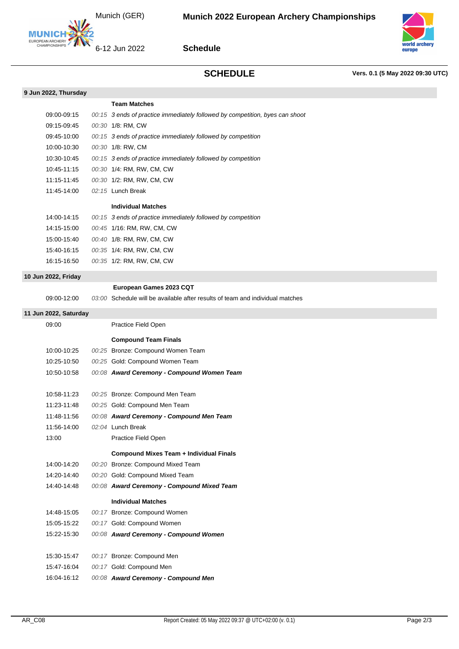Munich (GER)



**Schedule**



**SCHEDULE Vers. 0.1 (5 May 2022 09:30 UTC)**

|                       | <b>Team Matches</b>                                                                                      |
|-----------------------|----------------------------------------------------------------------------------------------------------|
| 09:00-09:15           | 00:15 3 ends of practice immediately followed by competition, byes can shoot                             |
| 09:15-09:45           | 00:30 1/8: RM, CW                                                                                        |
| 09:45-10:00           | 00:15 3 ends of practice immediately followed by competition                                             |
| 10:00-10:30           | 00:30 1/8: RW, CM                                                                                        |
| 10:30-10:45           | 00:15 3 ends of practice immediately followed by competition                                             |
| 10:45-11:15           | 00:30 1/4: RM, RW, CM, CW                                                                                |
| 11:15-11:45           | 00:30 1/2: RM, RW, CM, CW                                                                                |
| 11:45-14:00           | 02:15 Lunch Break                                                                                        |
|                       | <b>Individual Matches</b>                                                                                |
| 14:00-14:15           | 00:15 3 ends of practice immediately followed by competition                                             |
| 14:15-15:00           | 00:45 1/16: RM, RW, CM, CW                                                                               |
| 15:00-15:40           | 00:40 1/8: RM, RW, CM, CW                                                                                |
| 15:40-16:15           | 00:35 1/4: RM, RW, CM, CW                                                                                |
| 16:15-16:50           | 00:35 1/2: RM, RW, CM, CW                                                                                |
|                       |                                                                                                          |
| 10 Jun 2022, Friday   |                                                                                                          |
|                       | European Games 2023 CQT<br>03:00 Schedule will be available after results of team and individual matches |
| 09:00-12:00           |                                                                                                          |
| 11 Jun 2022, Saturday |                                                                                                          |
| 09:00                 | Practice Field Open                                                                                      |
|                       | <b>Compound Team Finals</b>                                                                              |
| 10:00-10:25           | 00:25 Bronze: Compound Women Team                                                                        |
| 10:25-10:50           | 00:25 Gold: Compound Women Team                                                                          |
| 10:50-10:58           | 00:08 Award Ceremony - Compound Women Team                                                               |
|                       |                                                                                                          |
| 10:58-11:23           | 00:25 Bronze: Compound Men Team                                                                          |
| 11.23-11.48           | 00:25 Gold: Compound Men Team                                                                            |
| 11:48-11:56           | 00:08 Award Ceremony - Compound Men Team                                                                 |
| 11:56-14:00           | 02:04 Lunch Break                                                                                        |
| 13:00                 | Practice Field Open                                                                                      |
|                       | <b>Compound Mixes Team + Individual Finals</b>                                                           |
| 14:00-14:20           | 00:20 Bronze: Compound Mixed Team                                                                        |
| 14:20-14:40           | 00:20 Gold: Compound Mixed Team                                                                          |
| 14:40-14:48           | 00:08 Award Ceremony - Compound Mixed Team                                                               |
|                       | <b>Individual Matches</b>                                                                                |
| 14:48-15:05           | 00:17 Bronze: Compound Women                                                                             |
| 15:05-15:22           | 00:17 Gold: Compound Women                                                                               |
| 15:22-15:30           | 00:08 Award Ceremony - Compound Women                                                                    |
|                       |                                                                                                          |
| 15:30-15:47           | 00:17 Bronze: Compound Men                                                                               |
| 15:47-16:04           | 00:17 Gold: Compound Men                                                                                 |
| 16:04-16:12           | 00:08 Award Ceremony - Compound Men                                                                      |